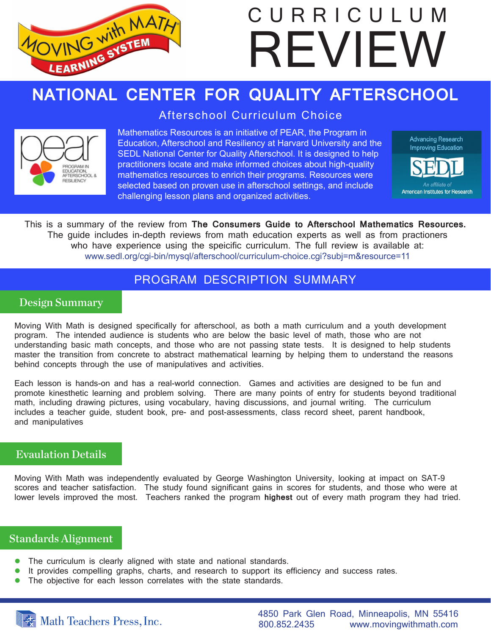

# **NATIONAL CENTER FOR QUALITY AFTERSCHOOL**

Afterschool Curriculum Choice



Mathematics Resources is an initiative of PEAR, the Program in Education, Afterschool and Resiliency at Harvard University and the SEDL National Center for Quality Afterschool. It is designed to help practitioners locate and make informed choices about high-quality mathematics resources to enrich their programs. Resources were selected based on proven use in afterschool settings, and include challenging lesson plans and organized activities.





This is a summary of the review from **The Consumers Guide to Afterschool Mathematics Resources.** The guide includes in-depth reviews from math education experts as well as from practioners who have experience using the speicific curriculum. The full review is available at: www.sedl.org/cgi-bin/mysql/afterschool/curriculum-choice.cgi?subj=m&resource=11

# PROGRAM DESCRIPTION SUMMARY

# Design Summary

Moving With Math is designed specifically for afterschool, as both a math curriculum and a youth development program. The intended audience is students who are below the basic level of math, those who are not understanding basic math concepts, and those who are not passing state tests. It is designed to help students master the transition from concrete to abstract mathematical learning by helping them to understand the reasons behind concepts through the use of manipulatives and activities.

Each lesson is hands-on and has a real-world connection. Games and activities are designed to be fun and promote kinesthetic learning and problem solving. There are many points of entry for students beyond traditional math, including drawing pictures, using vocabulary, having discussions, and journal writing. The curriculum includes a teacher guide, student book, pre- and post-assessments, class record sheet, parent handbook, and manipulatives

# Evaulation Details

Moving With Math was independently evaluated by George Washington University, looking at impact on SAT-9 scores and teacher satisfaction. The study found significant gains in scores for students, and those who were at lower levels improved the most. Teachers ranked the program **highest** out of every math program they had tried.

#### Standards Alignment

- The curriculum is clearly aligned with state and national standards.
- **It provides compelling graphs, charts, and research to support its efficiency and success rates.**
- The objective for each lesson correlates with the state standards.